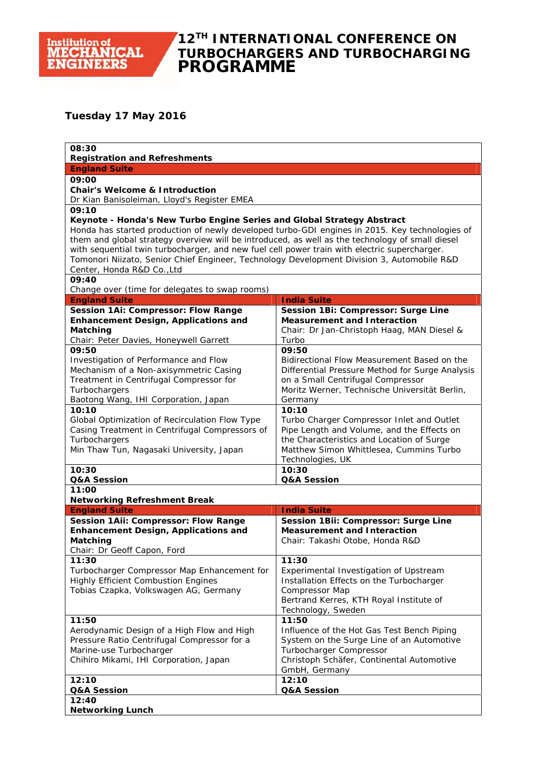#### **12TH INTERNATIONAL CONFERENCE ON TURBOCHARGERS AND TURBOCHARGING PROGRAMME**

#### **Tuesday 17 May 2016**

| 08:30                                                                                                                                                                                                                                                                                                                                                                                                                                                                                                   |                                                                                                                                                                                                          |  |
|---------------------------------------------------------------------------------------------------------------------------------------------------------------------------------------------------------------------------------------------------------------------------------------------------------------------------------------------------------------------------------------------------------------------------------------------------------------------------------------------------------|----------------------------------------------------------------------------------------------------------------------------------------------------------------------------------------------------------|--|
| <b>Registration and Refreshments</b><br><b>England Suite</b>                                                                                                                                                                                                                                                                                                                                                                                                                                            |                                                                                                                                                                                                          |  |
| 09:00                                                                                                                                                                                                                                                                                                                                                                                                                                                                                                   |                                                                                                                                                                                                          |  |
| <b>Chair's Welcome &amp; Introduction</b><br>Dr Kian Banisoleiman, Lloyd's Register EMEA                                                                                                                                                                                                                                                                                                                                                                                                                |                                                                                                                                                                                                          |  |
| 09:10                                                                                                                                                                                                                                                                                                                                                                                                                                                                                                   |                                                                                                                                                                                                          |  |
| Keynote - Honda's New Turbo Engine Series and Global Strategy Abstract<br>Honda has started production of newly developed turbo-GDI engines in 2015. Key technologies of<br>them and global strategy overview will be introduced, as well as the technology of small diesel<br>with sequential twin turbocharger, and new fuel cell power train with electric supercharger.<br>Tomonori Niizato, Senior Chief Engineer, Technology Development Division 3, Automobile R&D<br>Center, Honda R&D Co., Ltd |                                                                                                                                                                                                          |  |
| 09:40<br>Change over (time for delegates to swap rooms)                                                                                                                                                                                                                                                                                                                                                                                                                                                 |                                                                                                                                                                                                          |  |
| <b>England Suite</b>                                                                                                                                                                                                                                                                                                                                                                                                                                                                                    | <b>India Suite</b>                                                                                                                                                                                       |  |
| Session 1Ai: Compressor: Flow Range                                                                                                                                                                                                                                                                                                                                                                                                                                                                     | Session 1Bi: Compressor: Surge Line                                                                                                                                                                      |  |
| <b>Enhancement Design, Applications and</b><br>Matching                                                                                                                                                                                                                                                                                                                                                                                                                                                 | <b>Measurement and Interaction</b><br>Chair: Dr Jan-Christoph Haag, MAN Diesel &                                                                                                                         |  |
| Chair: Peter Davies, Honeywell Garrett                                                                                                                                                                                                                                                                                                                                                                                                                                                                  | Turbo                                                                                                                                                                                                    |  |
| 09:50<br>Investigation of Performance and Flow<br>Mechanism of a Non-axisymmetric Casing<br>Treatment in Centrifugal Compressor for<br>Turbochargers<br>Baotong Wang, IHI Corporation, Japan                                                                                                                                                                                                                                                                                                            | 09:50<br>Bidirectional Flow Measurement Based on the<br>Differential Pressure Method for Surge Analysis<br>on a Small Centrifugal Compressor<br>Moritz Werner, Technische Universität Berlin,<br>Germany |  |
| 10:10                                                                                                                                                                                                                                                                                                                                                                                                                                                                                                   | 10:10                                                                                                                                                                                                    |  |
| Global Optimization of Recirculation Flow Type<br>Casing Treatment in Centrifugal Compressors of<br>Turbochargers<br>Min Thaw Tun, Nagasaki University, Japan                                                                                                                                                                                                                                                                                                                                           | Turbo Charger Compressor Inlet and Outlet<br>Pipe Length and Volume, and the Effects on<br>the Characteristics and Location of Surge<br>Matthew Simon Whittlesea, Cummins Turbo<br>Technologies, UK      |  |
| 10:30<br>Q&A Session                                                                                                                                                                                                                                                                                                                                                                                                                                                                                    | 10:30<br>Q&A Session                                                                                                                                                                                     |  |
| 11:00                                                                                                                                                                                                                                                                                                                                                                                                                                                                                                   |                                                                                                                                                                                                          |  |
| <b>Networking Refreshment Break</b>                                                                                                                                                                                                                                                                                                                                                                                                                                                                     |                                                                                                                                                                                                          |  |
| <b>England Suite</b>                                                                                                                                                                                                                                                                                                                                                                                                                                                                                    | <b>India Suite</b>                                                                                                                                                                                       |  |
| Session 1Aii: Compressor: Flow Range<br><b>Enhancement Design, Applications and</b><br>Matching<br>Chair: Dr Geoff Capon, Ford                                                                                                                                                                                                                                                                                                                                                                          | Session 1Bii: Compressor: Surge Line<br><b>Measurement and Interaction</b><br>Chair: Takashi Otobe, Honda R&D                                                                                            |  |
| 11:30<br>Turbocharger Compressor Map Enhancement for<br><b>Highly Efficient Combustion Engines</b><br>Tobias Czapka, Volkswagen AG, Germany                                                                                                                                                                                                                                                                                                                                                             | 11:30<br>Experimental Investigation of Upstream<br>Installation Effects on the Turbocharger<br>Compressor Map<br>Bertrand Kerres, KTH Royal Institute of<br>Technology, Sweden                           |  |
| 11:50<br>Aerodynamic Design of a High Flow and High<br>Pressure Ratio Centrifugal Compressor for a<br>Marine-use Turbocharger<br>Chihiro Mikami, IHI Corporation, Japan                                                                                                                                                                                                                                                                                                                                 | 11:50<br>Influence of the Hot Gas Test Bench Piping<br>System on the Surge Line of an Automotive<br>Turbocharger Compressor<br>Christoph Schäfer, Continental Automotive<br>GmbH, Germany                |  |
| 12:10<br>Q&A Session                                                                                                                                                                                                                                                                                                                                                                                                                                                                                    | 12:10<br>Q&A Session                                                                                                                                                                                     |  |
| 12:40                                                                                                                                                                                                                                                                                                                                                                                                                                                                                                   |                                                                                                                                                                                                          |  |
| <b>Networking Lunch</b>                                                                                                                                                                                                                                                                                                                                                                                                                                                                                 |                                                                                                                                                                                                          |  |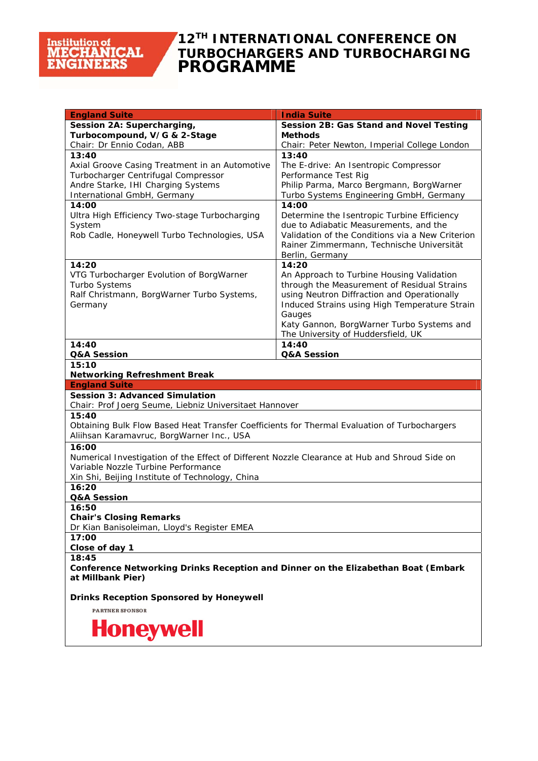## **12TH INTERNATIONAL CONFERENCE ON TURBOCHARGERS AND TURBOCHARGING PROGRAMME**

| <b>England Suite</b>                                                                          | <b>India Suite</b>                                                                         |  |
|-----------------------------------------------------------------------------------------------|--------------------------------------------------------------------------------------------|--|
| Session 2A: Supercharging,                                                                    | Session 2B: Gas Stand and Novel Testing                                                    |  |
| Turbocompound, V/G & 2-Stage                                                                  | Methods                                                                                    |  |
| Chair: Dr Ennio Codan, ABB                                                                    | Chair: Peter Newton, Imperial College London                                               |  |
| 13:40                                                                                         | 13:40                                                                                      |  |
| Axial Groove Casing Treatment in an Automotive                                                | The E-drive: An Isentropic Compressor                                                      |  |
| Turbocharger Centrifugal Compressor                                                           | Performance Test Rig                                                                       |  |
| Andre Starke, IHI Charging Systems                                                            | Philip Parma, Marco Bergmann, BorgWarner                                                   |  |
| International GmbH, Germany                                                                   | Turbo Systems Engineering GmbH, Germany                                                    |  |
| 14:00                                                                                         | 14:00                                                                                      |  |
| Ultra High Efficiency Two-stage Turbocharging                                                 | Determine the Isentropic Turbine Efficiency                                                |  |
| System                                                                                        | due to Adiabatic Measurements, and the                                                     |  |
| Rob Cadle, Honeywell Turbo Technologies, USA                                                  | Validation of the Conditions via a New Criterion                                           |  |
|                                                                                               | Rainer Zimmermann, Technische Universität                                                  |  |
|                                                                                               | Berlin, Germany                                                                            |  |
| 14:20                                                                                         | 14:20                                                                                      |  |
| VTG Turbocharger Evolution of BorgWarner                                                      | An Approach to Turbine Housing Validation                                                  |  |
| Turbo Systems                                                                                 | through the Measurement of Residual Strains<br>using Neutron Diffraction and Operationally |  |
| Ralf Christmann, BorgWarner Turbo Systems,<br>Germany                                         | Induced Strains using High Temperature Strain                                              |  |
|                                                                                               | Gauges                                                                                     |  |
|                                                                                               | Katy Gannon, BorgWarner Turbo Systems and                                                  |  |
|                                                                                               | The University of Huddersfield, UK                                                         |  |
| 14:40                                                                                         | 14:40                                                                                      |  |
| Q&A Session                                                                                   | Q&A Session                                                                                |  |
| 15:10                                                                                         |                                                                                            |  |
| <b>Networking Refreshment Break</b>                                                           |                                                                                            |  |
| <b>England Suite</b>                                                                          |                                                                                            |  |
| <b>Session 3: Advanced Simulation</b>                                                         |                                                                                            |  |
| Chair: Prof Joerg Seume, Liebniz Universitaet Hannover                                        |                                                                                            |  |
| 15:40                                                                                         |                                                                                            |  |
| Obtaining Bulk Flow Based Heat Transfer Coefficients for Thermal Evaluation of Turbochargers  |                                                                                            |  |
| Aliihsan Karamavruc, BorgWarner Inc., USA                                                     |                                                                                            |  |
| 16:00                                                                                         |                                                                                            |  |
| Numerical Investigation of the Effect of Different Nozzle Clearance at Hub and Shroud Side on |                                                                                            |  |
| Variable Nozzle Turbine Performance                                                           |                                                                                            |  |
| Xin Shi, Beijing Institute of Technology, China                                               |                                                                                            |  |
| 16:20                                                                                         |                                                                                            |  |
| Q&A Session<br>16:50                                                                          |                                                                                            |  |
| <b>Chair's Closing Remarks</b>                                                                |                                                                                            |  |
| Dr Kian Banisoleiman, Lloyd's Register EMEA                                                   |                                                                                            |  |
| 17:00                                                                                         |                                                                                            |  |
| Close of day 1                                                                                |                                                                                            |  |
| 18:45                                                                                         |                                                                                            |  |
| Conference Networking Drinks Reception and Dinner on the Elizabethan Boat (Embark             |                                                                                            |  |
| at Millbank Pier)                                                                             |                                                                                            |  |
|                                                                                               |                                                                                            |  |
| <b>Drinks Reception Sponsored by Honeywell</b>                                                |                                                                                            |  |
| <b>PARTNER SPONSOR</b>                                                                        |                                                                                            |  |
|                                                                                               |                                                                                            |  |
| <b>Honeywell</b>                                                                              |                                                                                            |  |
|                                                                                               |                                                                                            |  |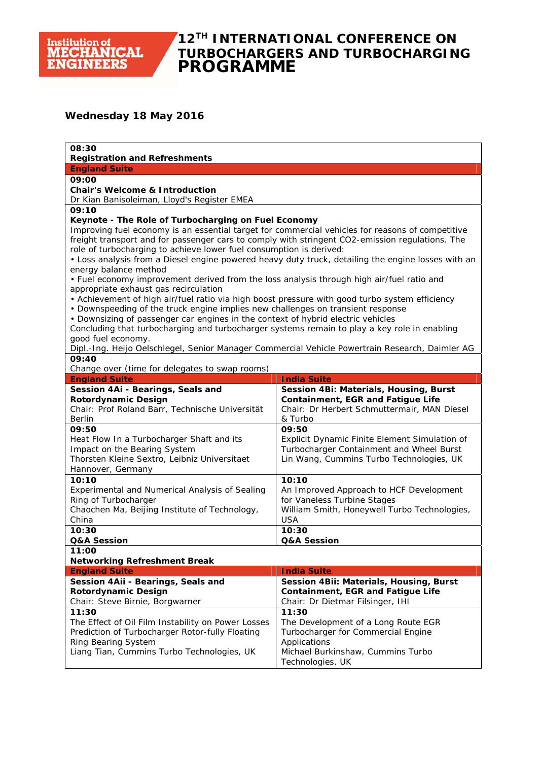

## **12TH INTERNATIONAL CONFERENCE ON TURBOCHARGERS AND TURBOCHARGING PROGRAMME**

#### **Wednesday 18 May 2016**

| 08:30<br><b>Registration and Refreshments</b>                                                                                                                             |                                                                                           |  |
|---------------------------------------------------------------------------------------------------------------------------------------------------------------------------|-------------------------------------------------------------------------------------------|--|
| <b>England Suite</b>                                                                                                                                                      |                                                                                           |  |
| 09:00                                                                                                                                                                     |                                                                                           |  |
| <b>Chair's Welcome &amp; Introduction</b>                                                                                                                                 |                                                                                           |  |
| Dr Kian Banisoleiman, Lloyd's Register EMEA                                                                                                                               |                                                                                           |  |
| 09:10                                                                                                                                                                     |                                                                                           |  |
| Keynote - The Role of Turbocharging on Fuel Economy                                                                                                                       |                                                                                           |  |
| Improving fuel economy is an essential target for commercial vehicles for reasons of competitive                                                                          |                                                                                           |  |
| freight transport and for passenger cars to comply with stringent CO2-emission regulations. The                                                                           |                                                                                           |  |
| role of turbocharging to achieve lower fuel consumption is derived:<br>. Loss analysis from a Diesel engine powered heavy duty truck, detailing the engine losses with an |                                                                                           |  |
| energy balance method                                                                                                                                                     |                                                                                           |  |
| • Fuel economy improvement derived from the loss analysis through high air/fuel ratio and                                                                                 |                                                                                           |  |
| appropriate exhaust gas recirculation                                                                                                                                     |                                                                                           |  |
| • Achievement of high air/fuel ratio via high boost pressure with good turbo system efficiency                                                                            |                                                                                           |  |
| • Downspeeding of the truck engine implies new challenges on transient response                                                                                           |                                                                                           |  |
| • Downsizing of passenger car engines in the context of hybrid electric vehicles                                                                                          |                                                                                           |  |
| Concluding that turbocharging and turbocharger systems remain to play a key role in enabling                                                                              |                                                                                           |  |
| good fuel economy.                                                                                                                                                        |                                                                                           |  |
| Dipl.-Ing. Heijo Oelschlegel, Senior Manager Commercial Vehicle Powertrain Research, Daimler AG<br>09:40                                                                  |                                                                                           |  |
| Change over (time for delegates to swap rooms)                                                                                                                            |                                                                                           |  |
| <b>England Suite</b>                                                                                                                                                      | <b>India Suite</b>                                                                        |  |
| Session 4Ai - Bearings, Seals and                                                                                                                                         | Session 4Bi: Materials, Housing, Burst                                                    |  |
| <b>Rotordynamic Design</b>                                                                                                                                                | <b>Containment, EGR and Fatigue Life</b>                                                  |  |
| Chair: Prof Roland Barr, Technische Universität                                                                                                                           | Chair: Dr Herbert Schmuttermair, MAN Diesel                                               |  |
| Berlin                                                                                                                                                                    | & Turbo                                                                                   |  |
| 09:50                                                                                                                                                                     | 09:50                                                                                     |  |
| Heat Flow In a Turbocharger Shaft and its<br>Impact on the Bearing System                                                                                                 | Explicit Dynamic Finite Element Simulation of<br>Turbocharger Containment and Wheel Burst |  |
| Thorsten Kleine Sextro, Leibniz Universitaet                                                                                                                              | Lin Wang, Cummins Turbo Technologies, UK                                                  |  |
| Hannover, Germany                                                                                                                                                         |                                                                                           |  |
| 10:10                                                                                                                                                                     | 10:10                                                                                     |  |
| Experimental and Numerical Analysis of Sealing                                                                                                                            | An Improved Approach to HCF Development                                                   |  |
| Ring of Turbocharger                                                                                                                                                      | for Vaneless Turbine Stages                                                               |  |
| Chaochen Ma, Beijing Institute of Technology,                                                                                                                             | William Smith, Honeywell Turbo Technologies,                                              |  |
| China                                                                                                                                                                     | <b>USA</b>                                                                                |  |
| 10:30<br>Q&A Session                                                                                                                                                      | 10:30<br>Q&A Session                                                                      |  |
| 11:00                                                                                                                                                                     |                                                                                           |  |
| <b>Networking Refreshment Break</b>                                                                                                                                       |                                                                                           |  |
| <b>England Suite</b>                                                                                                                                                      | <b>India Suite</b>                                                                        |  |
| Session 4Aii - Bearings, Seals and                                                                                                                                        | Session 4Bii: Materials, Housing, Burst                                                   |  |
| <b>Rotordynamic Design</b>                                                                                                                                                | <b>Containment, EGR and Fatigue Life</b>                                                  |  |
| Chair: Steve Birnie, Borgwarner                                                                                                                                           | Chair: Dr Dietmar Filsinger, IHI                                                          |  |
| 11:30                                                                                                                                                                     | 11:30                                                                                     |  |
| The Effect of Oil Film Instability on Power Losses                                                                                                                        | The Development of a Long Route EGR                                                       |  |
| Prediction of Turbocharger Rotor-fully Floating                                                                                                                           | Turbocharger for Commercial Engine                                                        |  |
| Ring Bearing System<br>Liang Tian, Cummins Turbo Technologies, UK                                                                                                         | Applications<br>Michael Burkinshaw, Cummins Turbo                                         |  |
|                                                                                                                                                                           | Technologies, UK                                                                          |  |